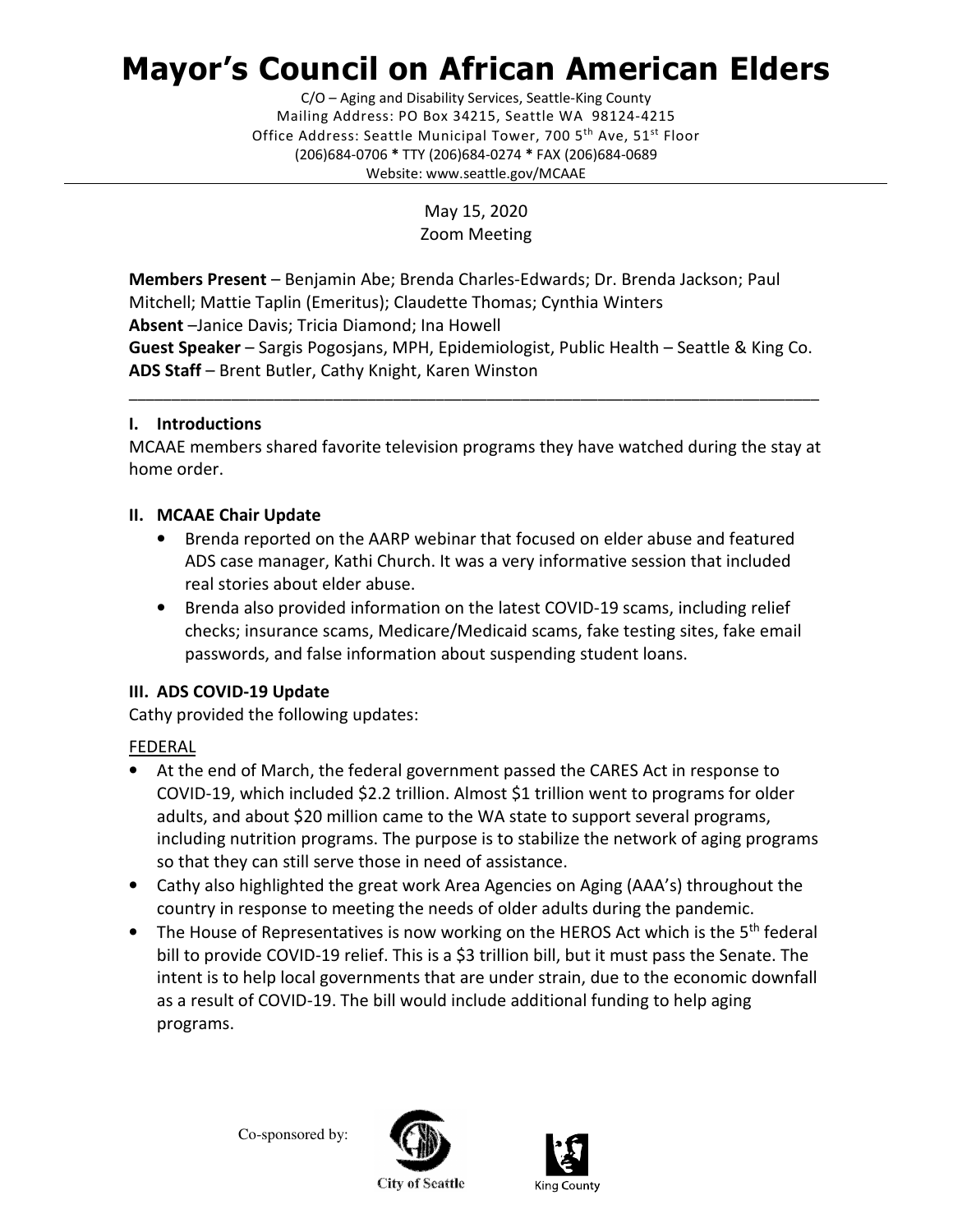# Mayor's Council on African American Elders

 Mailing Address: PO Box 34215, Seattle WA 98124-4215 Office Address: Seattle Municipal Tower, 700 5<sup>th</sup> Ave, 51<sup>st</sup> Floor (206)684-0706 \* TTY (206)684-0274 \* FAX (206)684-0689 C/O – Aging and Disability Services, Seattle-King County Website: <www.seattle.gov/MCAAE>

> May 15, 2020 Zoom Meeting

Members Present - Benjamin Abe; Brenda Charles-Edwards; Dr. Brenda Jackson; Paul Mitchell; Mattie Taplin (Emeritus); Claudette Thomas; Cynthia Winters Absent -Janice Davis; Tricia Diamond; Ina Howell Guest Speaker - Sargis Pogosjans, MPH, Epidemiologist, Public Health - Seattle & King Co. ADS Staff - Brent Butler, Cathy Knight, Karen Winston

# I. Introductions

 MCAAE members shared favorite television programs they have watched during the stay at home order.

\_\_\_\_\_\_\_\_\_\_\_\_\_\_\_\_\_\_\_\_\_\_\_\_\_\_\_\_\_\_\_\_\_\_\_\_\_\_\_\_\_\_\_\_\_\_\_\_\_\_\_\_\_\_\_\_\_\_\_\_\_\_\_\_\_\_\_\_\_\_\_\_\_\_\_\_\_\_\_\_\_

# II. MCAAE Chair Update

- • Brenda reported on the AARP webinar that focused on elder abuse and featured ADS case manager, Kathi Church. It was a very informative session that included real stories about elder abuse.
- • Brenda also provided information on the latest COVID-19 scams, including relief checks; insurance scams, Medicare/Medicaid scams, fake testing sites, fake email passwords, and false information about suspending student loans.

## III. ADS COVID-19 Update

Cathy provided the following updates:

# FEDERAL

- • At the end of March, the federal government passed the CARES Act in response to COVID-19, which included \$2.2 trillion. Almost \$1 trillion went to programs for older adults, and about \$20 million came to the WA state to support several programs, including nutrition programs. The purpose is to stabilize the network of aging programs so that they can still serve those in need of assistance.
- • Cathy also highlighted the great work Area Agencies on Aging (AAA's) throughout the country in response to meeting the needs of older adults during the pandemic.
- The House of Representatives is now working on the HEROS Act which is the 5<sup>th</sup> federal bill to provide COVID-19 relief. This is a \$3 trillion bill, but it must pass the Senate. The intent is to help local governments that are under strain, due to the economic downfall as a result of COVID-19. The bill would include additional funding to help aging programs.

Co-sponsored by:





**City of Seattle**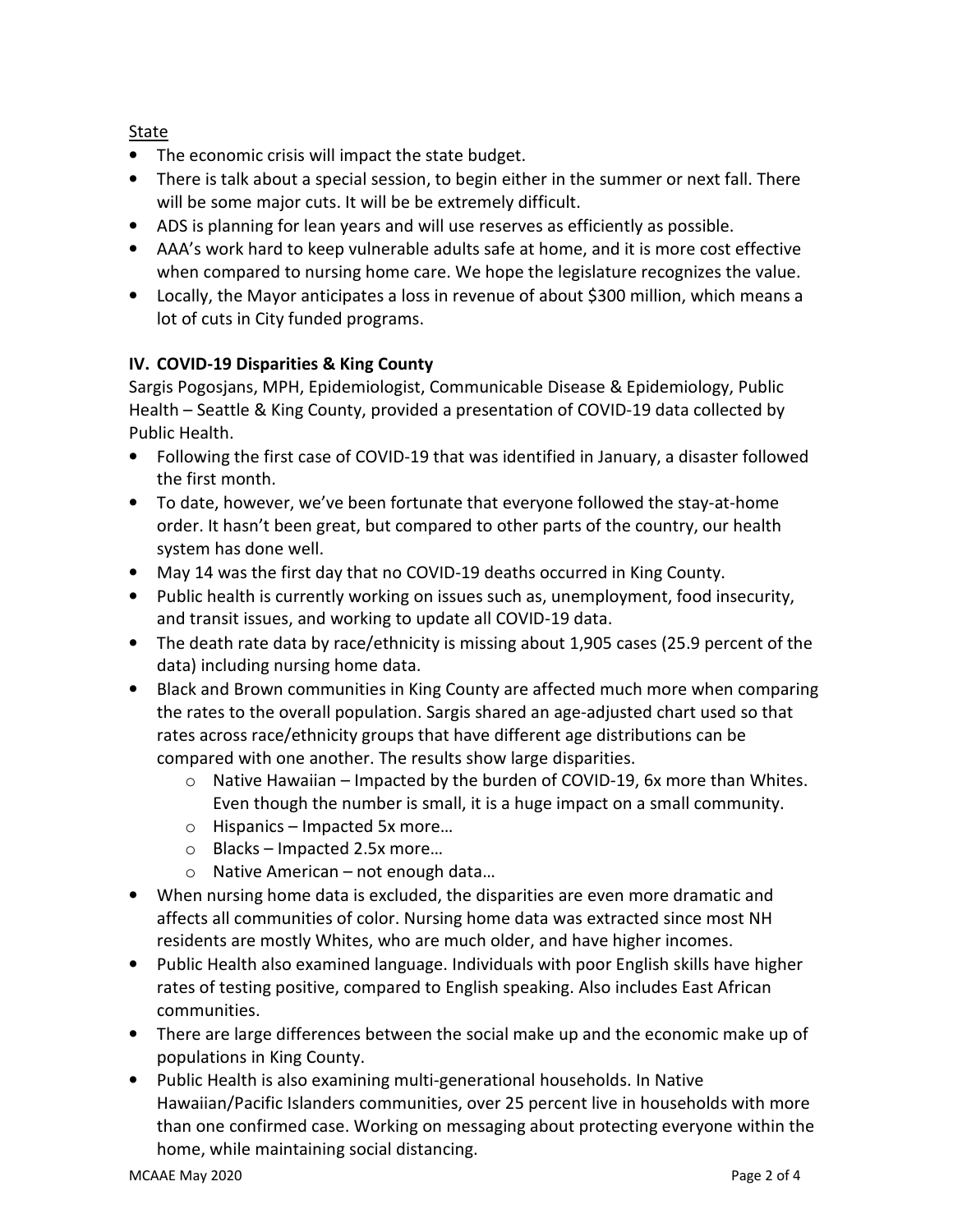State

- The economic crisis will impact the state budget.
- • There is talk about a special session, to begin either in the summer or next fall. There will be some major cuts. It will be be extremely difficult.
- ADS is planning for lean years and will use reserves as efficiently as possible.
- • AAA's work hard to keep vulnerable adults safe at home, and it is more cost effective when compared to nursing home care. We hope the legislature recognizes the value.
- • Locally, the Mayor anticipates a loss in revenue of about \$300 million, which means a lot of cuts in City funded programs.

# IV. COVID-19 Disparities & King County

 Sargis Pogosjans, MPH, Epidemiologist, Communicable Disease & Epidemiology, Public Health – Seattle & King County, provided a presentation of COVID-19 data collected by Public Health.

- • Following the first case of COVID-19 that was identified in January, a disaster followed the first month.
- • To date, however, we've been fortunate that everyone followed the stay-at-home order. It hasn't been great, but compared to other parts of the country, our health system has done well.
- May 14 was the first day that no COVID-19 deaths occurred in King County.
- • Public health is currently working on issues such as, unemployment, food insecurity, and transit issues, and working to update all COVID-19 data.
- • The death rate data by race/ethnicity is missing about 1,905 cases (25.9 percent of the data) including nursing home data.
- • Black and Brown communities in King County are affected much more when comparing the rates to the overall population. Sargis shared an age-adjusted chart used so that rates across race/ethnicity groups that have different age distributions can be compared with one another. The results show large disparities.
	- o Native Hawaiian Impacted by the burden of COVID-19, 6x more than Whites. Even though the number is small, it is a huge impact on a small community.
	- o Hispanics Impacted 5x more…
	- o Blacks Impacted 2.5x more…
	- o Native American not enough data…
- • When nursing home data is excluded, the disparities are even more dramatic and affects all communities of color. Nursing home data was extracted since most NH residents are mostly Whites, who are much older, and have higher incomes.
- • Public Health also examined language. Individuals with poor English skills have higher rates of testing positive, compared to English speaking. Also includes East African communities.
- • There are large differences between the social make up and the economic make up of populations in King County.
- • Public Health is also examining multi-generational households. In Native Hawaiian/Pacific Islanders communities, over 25 percent live in households with more than one confirmed case. Working on messaging about protecting everyone within the home, while maintaining social distancing.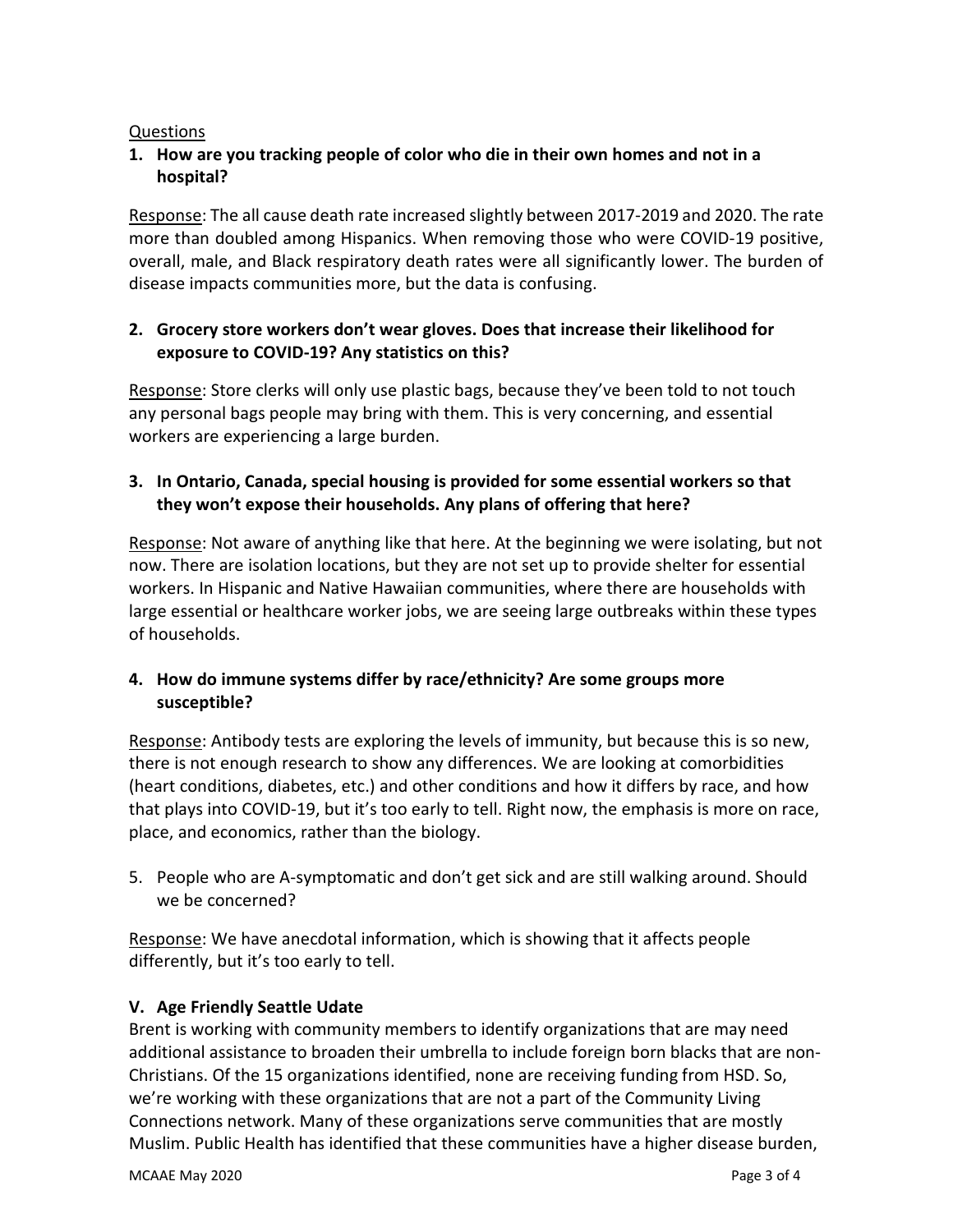#### **Questions**

## 1. How are you tracking people of color who die in their own homes and not in a hospital?

Response: The all cause death rate increased slightly between 2017-2019 and 2020. The rate more than doubled among Hispanics. When removing those who were COVID-19 positive, overall, male, and Black respiratory death rates were all significantly lower. The burden of disease impacts communities more, but the data is confusing.

## 2. Grocery store workers don't wear gloves. Does that increase their likelihood for exposure to COVID-19? Any statistics on this?

Response: Store clerks will only use plastic bags, because they've been told to not touch any personal bags people may bring with them. This is very concerning, and essential workers are experiencing a large burden.

# 3. In Ontario, Canada, special housing is provided for some essential workers so that they won't expose their households. Any plans of offering that here?

Response: Not aware of anything like that here. At the beginning we were isolating, but not now. There are isolation locations, but they are not set up to provide shelter for essential workers. In Hispanic and Native Hawaiian communities, where there are households with large essential or healthcare worker jobs, we are seeing large outbreaks within these types of households.

## 4. How do immune systems differ by race/ethnicity? Are some groups more susceptible?

Response: Antibody tests are exploring the levels of immunity, but because this is so new, there is not enough research to show any differences. We are looking at comorbidities (heart conditions, diabetes, etc.) and other conditions and how it differs by race, and how that plays into COVID-19, but it's too early to tell. Right now, the emphasis is more on race, place, and economics, rather than the biology.

 5. People who are A-symptomatic and don't get sick and are still walking around. Should we be concerned?

Response: We have anecdotal information, which is showing that it affects people differently, but it's too early to tell.

## V. Age Friendly Seattle Udate

 Brent is working with community members to identify organizations that are may need additional assistance to broaden their umbrella to include foreign born blacks that are non- Christians. Of the 15 organizations identified, none are receiving funding from HSD. So, we're working with these organizations that are not a part of the Community Living Connections network. Many of these organizations serve communities that are mostly Muslim. Public Health has identified that these communities have a higher disease burden,